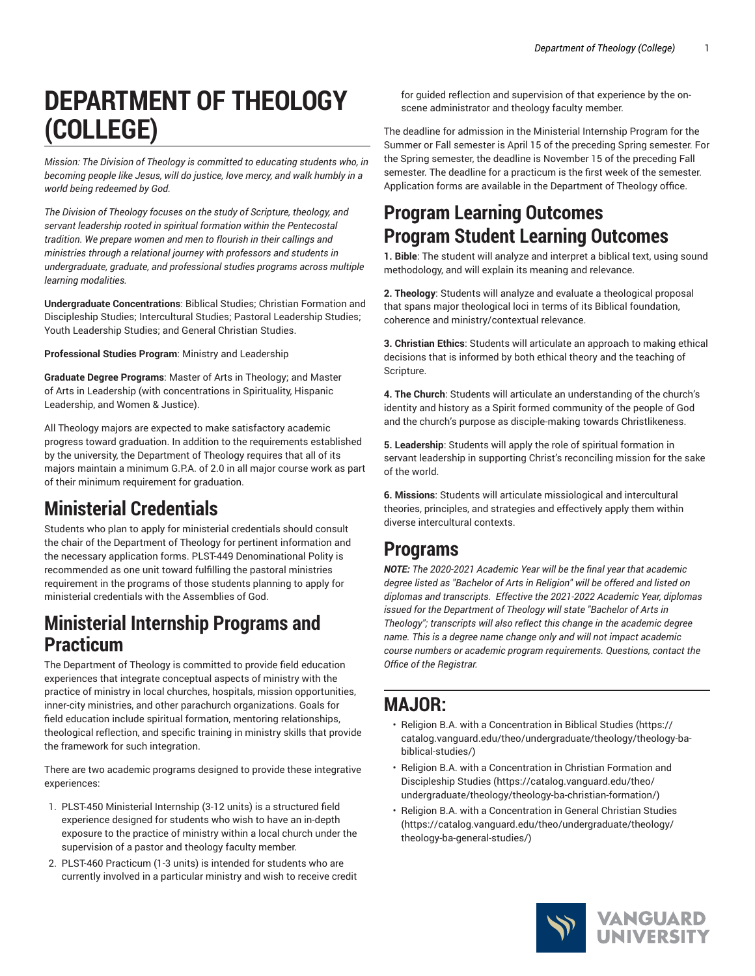# **DEPARTMENT OF THEOLOGY (COLLEGE)**

*Mission: The Division of Theology is committed to educating students who, in becoming people like Jesus, will do justice, love mercy, and walk humbly in a world being redeemed by God.*

*The Division of Theology focuses on the study of Scripture, theology, and servant leadership rooted in spiritual formation within the Pentecostal tradition. We prepare women and men to flourish in their callings and ministries through a relational journey with professors and students in undergraduate, graduate, and professional studies programs across multiple learning modalities.*

**Undergraduate Concentrations**: Biblical Studies; Christian Formation and Discipleship Studies; Intercultural Studies; Pastoral Leadership Studies; Youth Leadership Studies; and General Christian Studies.

**Professional Studies Program**: Ministry and Leadership

**Graduate Degree Programs**: Master of Arts in Theology; and Master of Arts in Leadership (with concentrations in Spirituality, Hispanic Leadership, and Women & Justice).

All Theology majors are expected to make satisfactory academic progress toward graduation. In addition to the requirements established by the university, the Department of Theology requires that all of its majors maintain a minimum G.P.A. of 2.0 in all major course work as part of their minimum requirement for graduation.

# **Ministerial Credentials**

Students who plan to apply for ministerial credentials should consult the chair of the Department of Theology for pertinent information and the necessary application forms. PLST-449 Denominational Polity is recommended as one unit toward fulfilling the pastoral ministries requirement in the programs of those students planning to apply for ministerial credentials with the Assemblies of God.

# **Ministerial Internship Programs and Practicum**

The Department of Theology is committed to provide field education experiences that integrate conceptual aspects of ministry with the practice of ministry in local churches, hospitals, mission opportunities, inner-city ministries, and other parachurch organizations. Goals for field education include spiritual formation, mentoring relationships, theological reflection, and specific training in ministry skills that provide the framework for such integration.

There are two academic programs designed to provide these integrative experiences:

- 1. PLST-450 Ministerial Internship (3-12 units) is a structured field experience designed for students who wish to have an in-depth exposure to the practice of ministry within a local church under the supervision of a pastor and theology faculty member.
- 2. PLST-460 Practicum (1-3 units) is intended for students who are currently involved in a particular ministry and wish to receive credit

for guided reflection and supervision of that experience by the onscene administrator and theology faculty member.

The deadline for admission in the Ministerial Internship Program for the Summer or Fall semester is April 15 of the preceding Spring semester. For the Spring semester, the deadline is November 15 of the preceding Fall semester. The deadline for a practicum is the first week of the semester. Application forms are available in the Department of Theology office.

# **Program Learning Outcomes Program Student Learning Outcomes**

**1. Bible**: The student will analyze and interpret a biblical text, using sound methodology, and will explain its meaning and relevance.

**2. Theology**: Students will analyze and evaluate a theological proposal that spans major theological loci in terms of its Biblical foundation, coherence and ministry/contextual relevance.

**3. Christian Ethics**: Students will articulate an approach to making ethical decisions that is informed by both ethical theory and the teaching of Scripture.

**4. The Church**: Students will articulate an understanding of the church's identity and history as a Spirit formed community of the people of God and the church's purpose as disciple-making towards Christlikeness.

**5. Leadership**: Students will apply the role of spiritual formation in servant leadership in supporting Christ's reconciling mission for the sake of the world.

**6. Missions**: Students will articulate missiological and intercultural theories, principles, and strategies and effectively apply them within diverse intercultural contexts.

# **Programs**

*NOTE: The 2020-2021 Academic Year will be the final year that academic degree listed as "Bachelor of Arts in Religion" will be offered and listed on diplomas and transcripts. Effective the 2021-2022 Academic Year, diplomas issued for the Department of Theology will state "Bachelor of Arts in Theology"; transcripts will also reflect this change in the academic degree name. This is a degree name change only and will not impact academic course numbers or academic program requirements. Questions, contact the Office of the Registrar.*

# **MAJOR:**

- [Religion B.A. with a Concentration in Biblical Studies \(https://](https://catalog.vanguard.edu/theo/undergraduate/theology/theology-ba-biblical-studies/) [catalog.vanguard.edu/theo/undergraduate/theology/theology-ba](https://catalog.vanguard.edu/theo/undergraduate/theology/theology-ba-biblical-studies/)[biblical-studies/](https://catalog.vanguard.edu/theo/undergraduate/theology/theology-ba-biblical-studies/))
- Religion B.A. with a [Concentration](https://catalog.vanguard.edu/theo/undergraduate/theology/theology-ba-christian-formation/) in Christian Formation and [Discipleship Studies](https://catalog.vanguard.edu/theo/undergraduate/theology/theology-ba-christian-formation/) ([https://catalog.vanguard.edu/theo/](https://catalog.vanguard.edu/theo/undergraduate/theology/theology-ba-christian-formation/) [undergraduate/theology/theology-ba-christian-formation/\)](https://catalog.vanguard.edu/theo/undergraduate/theology/theology-ba-christian-formation/)
- [Religion B.A. with a Concentration in General Christian Studies](https://catalog.vanguard.edu/theo/undergraduate/theology/theology-ba-general-studies/) [\(https://catalog.vanguard.edu/theo/undergraduate/theology/](https://catalog.vanguard.edu/theo/undergraduate/theology/theology-ba-general-studies/) [theology-ba-general-studies/](https://catalog.vanguard.edu/theo/undergraduate/theology/theology-ba-general-studies/))

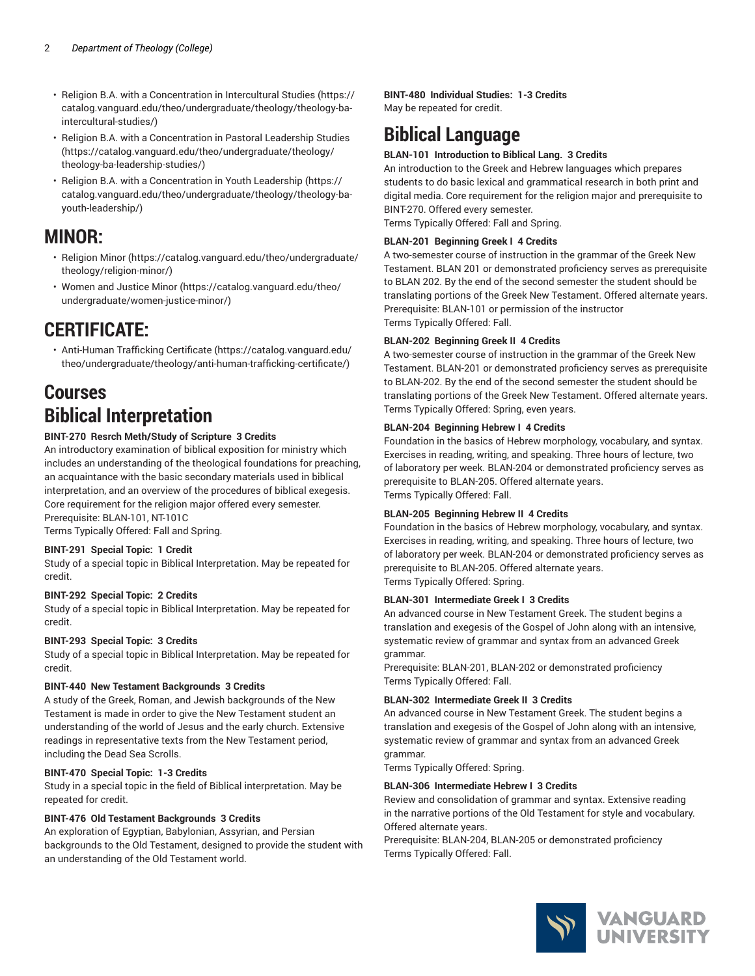- Religion B.A. with a [Concentration](https://catalog.vanguard.edu/theo/undergraduate/theology/theology-ba-intercultural-studies/) in Intercultural Studies [\(https://](https://catalog.vanguard.edu/theo/undergraduate/theology/theology-ba-intercultural-studies/) [catalog.vanguard.edu/theo/undergraduate/theology/theology-ba](https://catalog.vanguard.edu/theo/undergraduate/theology/theology-ba-intercultural-studies/)[intercultural-studies/](https://catalog.vanguard.edu/theo/undergraduate/theology/theology-ba-intercultural-studies/))
- Religion B.A. with a [Concentration](https://catalog.vanguard.edu/theo/undergraduate/theology/theology-ba-leadership-studies/) in Pastoral Leadership Studies ([https://catalog.vanguard.edu/theo/undergraduate/theology/](https://catalog.vanguard.edu/theo/undergraduate/theology/theology-ba-leadership-studies/) [theology-ba-leadership-studies/\)](https://catalog.vanguard.edu/theo/undergraduate/theology/theology-ba-leadership-studies/)
- Religion B.A. with a [Concentration](https://catalog.vanguard.edu/theo/undergraduate/theology/theology-ba-youth-leadership/) in Youth Leadership [\(https://](https://catalog.vanguard.edu/theo/undergraduate/theology/theology-ba-youth-leadership/) [catalog.vanguard.edu/theo/undergraduate/theology/theology-ba](https://catalog.vanguard.edu/theo/undergraduate/theology/theology-ba-youth-leadership/)[youth-leadership/](https://catalog.vanguard.edu/theo/undergraduate/theology/theology-ba-youth-leadership/))

# **MINOR:**

- [Religion Minor](https://catalog.vanguard.edu/theo/undergraduate/theology/religion-minor/) ([https://catalog.vanguard.edu/theo/undergraduate/](https://catalog.vanguard.edu/theo/undergraduate/theology/religion-minor/) [theology/religion-minor/](https://catalog.vanguard.edu/theo/undergraduate/theology/religion-minor/))
- [Women](https://catalog.vanguard.edu/theo/undergraduate/women-justice-minor/) and Justice Minor ([https://catalog.vanguard.edu/theo/](https://catalog.vanguard.edu/theo/undergraduate/women-justice-minor/) [undergraduate/women-justice-minor/\)](https://catalog.vanguard.edu/theo/undergraduate/women-justice-minor/)

# **CERTIFICATE:**

• [Anti-Human](https://catalog.vanguard.edu/theo/undergraduate/theology/anti-human-trafficking-certificate/) Trafficking Certificate ([https://catalog.vanguard.edu/](https://catalog.vanguard.edu/theo/undergraduate/theology/anti-human-trafficking-certificate/) [theo/undergraduate/theology/anti-human-trafficking-certificate/](https://catalog.vanguard.edu/theo/undergraduate/theology/anti-human-trafficking-certificate/))

# **Courses Biblical Interpretation**

# **BINT-270 Resrch Meth/Study of Scripture 3 Credits**

An introductory examination of biblical exposition for ministry which includes an understanding of the theological foundations for preaching, an acquaintance with the basic secondary materials used in biblical interpretation, and an overview of the procedures of biblical exegesis. Core requirement for the religion major offered every semester. Prerequisite: BLAN-101, NT-101C

Terms Typically Offered: Fall and Spring.

# **BINT-291 Special Topic: 1 Credit**

Study of a special topic in Biblical Interpretation. May be repeated for credit.

# **BINT-292 Special Topic: 2 Credits**

Study of a special topic in Biblical Interpretation. May be repeated for credit.

# **BINT-293 Special Topic: 3 Credits**

Study of a special topic in Biblical Interpretation. May be repeated for credit.

# **BINT-440 New Testament Backgrounds 3 Credits**

A study of the Greek, Roman, and Jewish backgrounds of the New Testament is made in order to give the New Testament student an understanding of the world of Jesus and the early church. Extensive readings in representative texts from the New Testament period, including the Dead Sea Scrolls.

# **BINT-470 Special Topic: 1-3 Credits**

Study in a special topic in the field of Biblical interpretation. May be repeated for credit.

# **BINT-476 Old Testament Backgrounds 3 Credits**

An exploration of Egyptian, Babylonian, Assyrian, and Persian backgrounds to the Old Testament, designed to provide the student with an understanding of the Old Testament world.

**BINT-480 Individual Studies: 1-3 Credits** May be repeated for credit.

# **Biblical Language**

# **BLAN-101 Introduction to Biblical Lang. 3 Credits**

An introduction to the Greek and Hebrew languages which prepares students to do basic lexical and grammatical research in both print and digital media. Core requirement for the religion major and prerequisite to BINT-270. Offered every semester.

Terms Typically Offered: Fall and Spring.

# **BLAN-201 Beginning Greek I 4 Credits**

A two-semester course of instruction in the grammar of the Greek New Testament. BLAN 201 or demonstrated proficiency serves as prerequisite to BLAN 202. By the end of the second semester the student should be translating portions of the Greek New Testament. Offered alternate years. Prerequisite: BLAN-101 or permission of the instructor Terms Typically Offered: Fall.

#### **BLAN-202 Beginning Greek II 4 Credits**

A two-semester course of instruction in the grammar of the Greek New Testament. BLAN-201 or demonstrated proficiency serves as prerequisite to BLAN-202. By the end of the second semester the student should be translating portions of the Greek New Testament. Offered alternate years. Terms Typically Offered: Spring, even years.

# **BLAN-204 Beginning Hebrew I 4 Credits**

Foundation in the basics of Hebrew morphology, vocabulary, and syntax. Exercises in reading, writing, and speaking. Three hours of lecture, two of laboratory per week. BLAN-204 or demonstrated proficiency serves as prerequisite to BLAN-205. Offered alternate years. Terms Typically Offered: Fall.

#### **BLAN-205 Beginning Hebrew II 4 Credits**

Foundation in the basics of Hebrew morphology, vocabulary, and syntax. Exercises in reading, writing, and speaking. Three hours of lecture, two of laboratory per week. BLAN-204 or demonstrated proficiency serves as prerequisite to BLAN-205. Offered alternate years. Terms Typically Offered: Spring.

#### **BLAN-301 Intermediate Greek I 3 Credits**

An advanced course in New Testament Greek. The student begins a translation and exegesis of the Gospel of John along with an intensive, systematic review of grammar and syntax from an advanced Greek grammar.

Prerequisite: BLAN-201, BLAN-202 or demonstrated proficiency Terms Typically Offered: Fall.

# **BLAN-302 Intermediate Greek II 3 Credits**

An advanced course in New Testament Greek. The student begins a translation and exegesis of the Gospel of John along with an intensive, systematic review of grammar and syntax from an advanced Greek grammar.

Terms Typically Offered: Spring.

#### **BLAN-306 Intermediate Hebrew I 3 Credits**

Review and consolidation of grammar and syntax. Extensive reading in the narrative portions of the Old Testament for style and vocabulary. Offered alternate years.

Prerequisite: BLAN-204, BLAN-205 or demonstrated proficiency Terms Typically Offered: Fall.

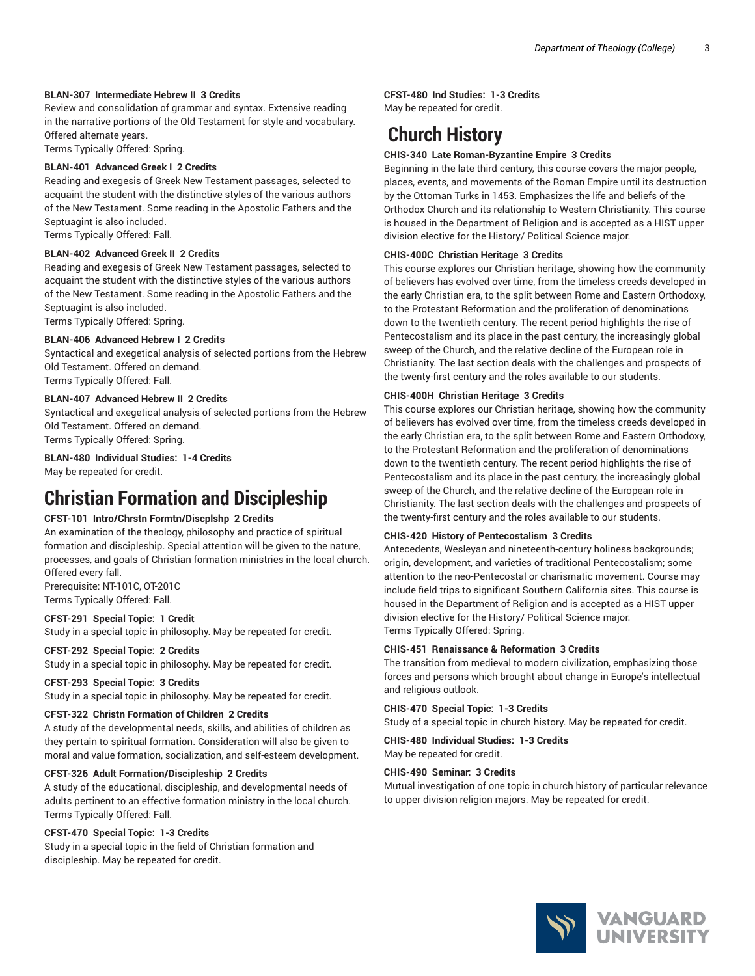#### **BLAN-307 Intermediate Hebrew II 3 Credits**

Review and consolidation of grammar and syntax. Extensive reading in the narrative portions of the Old Testament for style and vocabulary. Offered alternate years.

Terms Typically Offered: Spring.

# **BLAN-401 Advanced Greek I 2 Credits**

Reading and exegesis of Greek New Testament passages, selected to acquaint the student with the distinctive styles of the various authors of the New Testament. Some reading in the Apostolic Fathers and the Septuagint is also included.

Terms Typically Offered: Fall.

# **BLAN-402 Advanced Greek II 2 Credits**

Reading and exegesis of Greek New Testament passages, selected to acquaint the student with the distinctive styles of the various authors of the New Testament. Some reading in the Apostolic Fathers and the Septuagint is also included.

Terms Typically Offered: Spring.

#### **BLAN-406 Advanced Hebrew I 2 Credits**

Syntactical and exegetical analysis of selected portions from the Hebrew Old Testament. Offered on demand.

# Terms Typically Offered: Fall.

### **BLAN-407 Advanced Hebrew II 2 Credits**

Syntactical and exegetical analysis of selected portions from the Hebrew Old Testament. Offered on demand. Terms Typically Offered: Spring.

**BLAN-480 Individual Studies: 1-4 Credits**

May be repeated for credit.

# **Christian Formation and Discipleship**

# **CFST-101 Intro/Chrstn Formtn/Discplshp 2 Credits**

An examination of the theology, philosophy and practice of spiritual formation and discipleship. Special attention will be given to the nature, processes, and goals of Christian formation ministries in the local church. Offered every fall.

Prerequisite: NT-101C, OT-201C Terms Typically Offered: Fall.

#### **CFST-291 Special Topic: 1 Credit**

Study in a special topic in philosophy. May be repeated for credit.

# **CFST-292 Special Topic: 2 Credits**

Study in a special topic in philosophy. May be repeated for credit.

#### **CFST-293 Special Topic: 3 Credits**

Study in a special topic in philosophy. May be repeated for credit.

#### **CFST-322 Christn Formation of Children 2 Credits**

A study of the developmental needs, skills, and abilities of children as they pertain to spiritual formation. Consideration will also be given to moral and value formation, socialization, and self-esteem development.

#### **CFST-326 Adult Formation/Discipleship 2 Credits**

A study of the educational, discipleship, and developmental needs of adults pertinent to an effective formation ministry in the local church. Terms Typically Offered: Fall.

#### **CFST-470 Special Topic: 1-3 Credits**

Study in a special topic in the field of Christian formation and discipleship. May be repeated for credit.

#### **CFST-480 Ind Studies: 1-3 Credits**

May be repeated for credit.

# **Church History**

# **CHIS-340 Late Roman-Byzantine Empire 3 Credits**

Beginning in the late third century, this course covers the major people, places, events, and movements of the Roman Empire until its destruction by the Ottoman Turks in 1453. Emphasizes the life and beliefs of the Orthodox Church and its relationship to Western Christianity. This course is housed in the Department of Religion and is accepted as a HIST upper division elective for the History/ Political Science major.

#### **CHIS-400C Christian Heritage 3 Credits**

This course explores our Christian heritage, showing how the community of believers has evolved over time, from the timeless creeds developed in the early Christian era, to the split between Rome and Eastern Orthodoxy, to the Protestant Reformation and the proliferation of denominations down to the twentieth century. The recent period highlights the rise of Pentecostalism and its place in the past century, the increasingly global sweep of the Church, and the relative decline of the European role in Christianity. The last section deals with the challenges and prospects of the twenty-first century and the roles available to our students.

#### **CHIS-400H Christian Heritage 3 Credits**

This course explores our Christian heritage, showing how the community of believers has evolved over time, from the timeless creeds developed in the early Christian era, to the split between Rome and Eastern Orthodoxy, to the Protestant Reformation and the proliferation of denominations down to the twentieth century. The recent period highlights the rise of Pentecostalism and its place in the past century, the increasingly global sweep of the Church, and the relative decline of the European role in Christianity. The last section deals with the challenges and prospects of the twenty-first century and the roles available to our students.

# **CHIS-420 History of Pentecostalism 3 Credits**

Antecedents, Wesleyan and nineteenth-century holiness backgrounds; origin, development, and varieties of traditional Pentecostalism; some attention to the neo-Pentecostal or charismatic movement. Course may include field trips to significant Southern California sites. This course is housed in the Department of Religion and is accepted as a HIST upper division elective for the History/ Political Science major. Terms Typically Offered: Spring.

#### **CHIS-451 Renaissance & Reformation 3 Credits**

The transition from medieval to modern civilization, emphasizing those forces and persons which brought about change in Europe's intellectual and religious outlook.

#### **CHIS-470 Special Topic: 1-3 Credits**

Study of a special topic in church history. May be repeated for credit.

**CHIS-480 Individual Studies: 1-3 Credits** May be repeated for credit.

# **CHIS-490 Seminar: 3 Credits**

Mutual investigation of one topic in church history of particular relevance to upper division religion majors. May be repeated for credit.

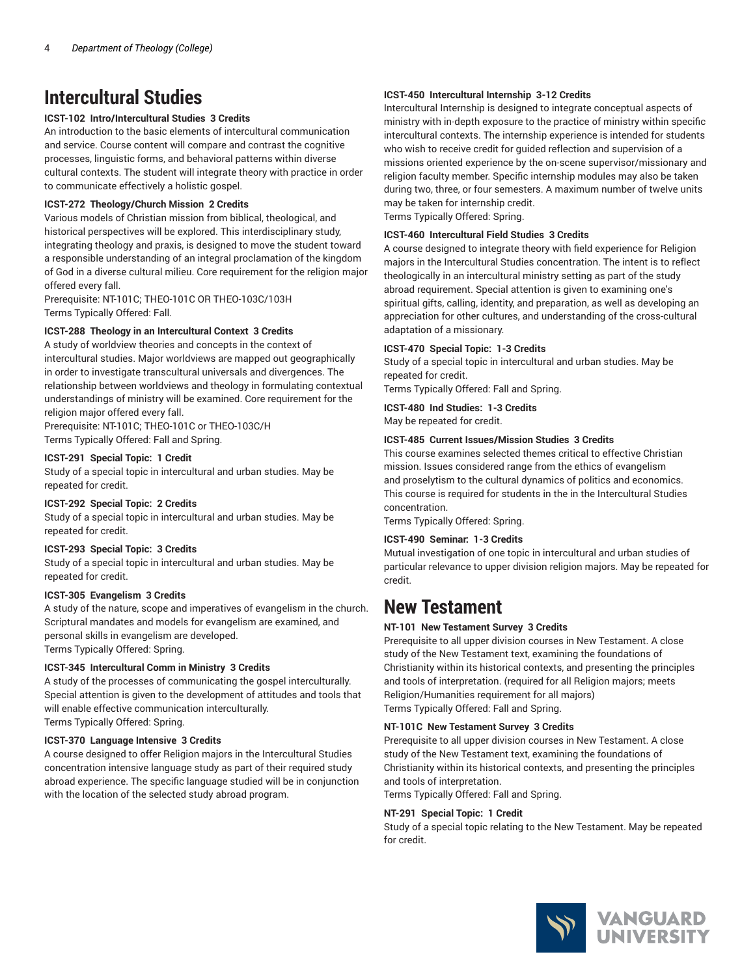# **Intercultural Studies**

# **ICST-102 Intro/Intercultural Studies 3 Credits**

An introduction to the basic elements of intercultural communication and service. Course content will compare and contrast the cognitive processes, linguistic forms, and behavioral patterns within diverse cultural contexts. The student will integrate theory with practice in order to communicate effectively a holistic gospel.

# **ICST-272 Theology/Church Mission 2 Credits**

Various models of Christian mission from biblical, theological, and historical perspectives will be explored. This interdisciplinary study, integrating theology and praxis, is designed to move the student toward a responsible understanding of an integral proclamation of the kingdom of God in a diverse cultural milieu. Core requirement for the religion major offered every fall.

Prerequisite: NT-101C; THEO-101C OR THEO-103C/103H Terms Typically Offered: Fall.

# **ICST-288 Theology in an Intercultural Context 3 Credits**

A study of worldview theories and concepts in the context of intercultural studies. Major worldviews are mapped out geographically in order to investigate transcultural universals and divergences. The relationship between worldviews and theology in formulating contextual understandings of ministry will be examined. Core requirement for the religion major offered every fall.

Prerequisite: NT-101C; THEO-101C or THEO-103C/H Terms Typically Offered: Fall and Spring.

# **ICST-291 Special Topic: 1 Credit**

Study of a special topic in intercultural and urban studies. May be repeated for credit.

# **ICST-292 Special Topic: 2 Credits**

Study of a special topic in intercultural and urban studies. May be repeated for credit.

# **ICST-293 Special Topic: 3 Credits**

Study of a special topic in intercultural and urban studies. May be repeated for credit.

# **ICST-305 Evangelism 3 Credits**

A study of the nature, scope and imperatives of evangelism in the church. Scriptural mandates and models for evangelism are examined, and personal skills in evangelism are developed. Terms Typically Offered: Spring.

# **ICST-345 Intercultural Comm in Ministry 3 Credits**

A study of the processes of communicating the gospel interculturally. Special attention is given to the development of attitudes and tools that will enable effective communication interculturally. Terms Typically Offered: Spring.

# **ICST-370 Language Intensive 3 Credits**

A course designed to offer Religion majors in the Intercultural Studies concentration intensive language study as part of their required study abroad experience. The specific language studied will be in conjunction with the location of the selected study abroad program.

# **ICST-450 Intercultural Internship 3-12 Credits**

Intercultural Internship is designed to integrate conceptual aspects of ministry with in-depth exposure to the practice of ministry within specific intercultural contexts. The internship experience is intended for students who wish to receive credit for guided reflection and supervision of a missions oriented experience by the on-scene supervisor/missionary and religion faculty member. Specific internship modules may also be taken during two, three, or four semesters. A maximum number of twelve units may be taken for internship credit. Terms Typically Offered: Spring.

**ICST-460 Intercultural Field Studies 3 Credits**

A course designed to integrate theory with field experience for Religion majors in the Intercultural Studies concentration. The intent is to reflect theologically in an intercultural ministry setting as part of the study abroad requirement. Special attention is given to examining one's spiritual gifts, calling, identity, and preparation, as well as developing an appreciation for other cultures, and understanding of the cross-cultural adaptation of a missionary.

# **ICST-470 Special Topic: 1-3 Credits**

Study of a special topic in intercultural and urban studies. May be repeated for credit.

Terms Typically Offered: Fall and Spring.

# **ICST-480 Ind Studies: 1-3 Credits**

May be repeated for credit.

# **ICST-485 Current Issues/Mission Studies 3 Credits**

This course examines selected themes critical to effective Christian mission. Issues considered range from the ethics of evangelism and proselytism to the cultural dynamics of politics and economics. This course is required for students in the in the Intercultural Studies concentration.

Terms Typically Offered: Spring.

# **ICST-490 Seminar: 1-3 Credits**

Mutual investigation of one topic in intercultural and urban studies of particular relevance to upper division religion majors. May be repeated for credit.

# **New Testament**

# **NT-101 New Testament Survey 3 Credits**

Prerequisite to all upper division courses in New Testament. A close study of the New Testament text, examining the foundations of Christianity within its historical contexts, and presenting the principles and tools of interpretation. (required for all Religion majors; meets Religion/Humanities requirement for all majors) Terms Typically Offered: Fall and Spring.

# **NT-101C New Testament Survey 3 Credits**

Prerequisite to all upper division courses in New Testament. A close study of the New Testament text, examining the foundations of Christianity within its historical contexts, and presenting the principles and tools of interpretation.

Terms Typically Offered: Fall and Spring.

# **NT-291 Special Topic: 1 Credit**

Study of a special topic relating to the New Testament. May be repeated for credit.

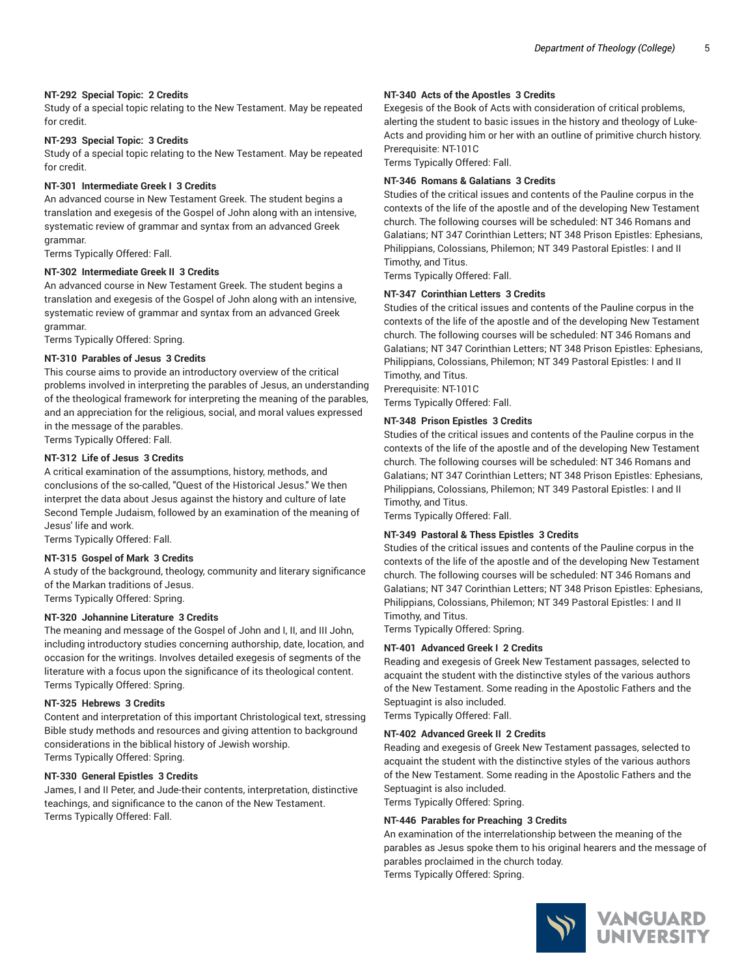### **NT-292 Special Topic: 2 Credits**

Study of a special topic relating to the New Testament. May be repeated for credit.

#### **NT-293 Special Topic: 3 Credits**

Study of a special topic relating to the New Testament. May be repeated for credit.

#### **NT-301 Intermediate Greek I 3 Credits**

An advanced course in New Testament Greek. The student begins a translation and exegesis of the Gospel of John along with an intensive, systematic review of grammar and syntax from an advanced Greek grammar.

Terms Typically Offered: Fall.

#### **NT-302 Intermediate Greek II 3 Credits**

An advanced course in New Testament Greek. The student begins a translation and exegesis of the Gospel of John along with an intensive, systematic review of grammar and syntax from an advanced Greek grammar.

Terms Typically Offered: Spring.

# **NT-310 Parables of Jesus 3 Credits**

This course aims to provide an introductory overview of the critical problems involved in interpreting the parables of Jesus, an understanding of the theological framework for interpreting the meaning of the parables, and an appreciation for the religious, social, and moral values expressed in the message of the parables. Terms Typically Offered: Fall.

# **NT-312 Life of Jesus 3 Credits**

A critical examination of the assumptions, history, methods, and conclusions of the so-called, "Quest of the Historical Jesus." We then interpret the data about Jesus against the history and culture of late Second Temple Judaism, followed by an examination of the meaning of Jesus' life and work.

Terms Typically Offered: Fall.

# **NT-315 Gospel of Mark 3 Credits**

A study of the background, theology, community and literary significance of the Markan traditions of Jesus. Terms Typically Offered: Spring.

# **NT-320 Johannine Literature 3 Credits**

The meaning and message of the Gospel of John and I, II, and III John, including introductory studies concerning authorship, date, location, and occasion for the writings. Involves detailed exegesis of segments of the literature with a focus upon the significance of its theological content. Terms Typically Offered: Spring.

#### **NT-325 Hebrews 3 Credits**

Content and interpretation of this important Christological text, stressing Bible study methods and resources and giving attention to background considerations in the biblical history of Jewish worship. Terms Typically Offered: Spring.

#### **NT-330 General Epistles 3 Credits**

James, I and II Peter, and Jude-their contents, interpretation, distinctive teachings, and significance to the canon of the New Testament. Terms Typically Offered: Fall.

#### **NT-340 Acts of the Apostles 3 Credits**

Exegesis of the Book of Acts with consideration of critical problems, alerting the student to basic issues in the history and theology of Luke-Acts and providing him or her with an outline of primitive church history. Prerequisite: NT-101C

Terms Typically Offered: Fall.

#### **NT-346 Romans & Galatians 3 Credits**

Studies of the critical issues and contents of the Pauline corpus in the contexts of the life of the apostle and of the developing New Testament church. The following courses will be scheduled: NT 346 Romans and Galatians; NT 347 Corinthian Letters; NT 348 Prison Epistles: Ephesians, Philippians, Colossians, Philemon; NT 349 Pastoral Epistles: I and II Timothy, and Titus.

Terms Typically Offered: Fall.

#### **NT-347 Corinthian Letters 3 Credits**

Studies of the critical issues and contents of the Pauline corpus in the contexts of the life of the apostle and of the developing New Testament church. The following courses will be scheduled: NT 346 Romans and Galatians; NT 347 Corinthian Letters; NT 348 Prison Epistles: Ephesians, Philippians, Colossians, Philemon; NT 349 Pastoral Epistles: I and II Timothy, and Titus.

Prerequisite: NT-101C

Terms Typically Offered: Fall.

### **NT-348 Prison Epistles 3 Credits**

Studies of the critical issues and contents of the Pauline corpus in the contexts of the life of the apostle and of the developing New Testament church. The following courses will be scheduled: NT 346 Romans and Galatians; NT 347 Corinthian Letters; NT 348 Prison Epistles: Ephesians, Philippians, Colossians, Philemon; NT 349 Pastoral Epistles: I and II Timothy, and Titus.

Terms Typically Offered: Fall.

### **NT-349 Pastoral & Thess Epistles 3 Credits**

Studies of the critical issues and contents of the Pauline corpus in the contexts of the life of the apostle and of the developing New Testament church. The following courses will be scheduled: NT 346 Romans and Galatians; NT 347 Corinthian Letters; NT 348 Prison Epistles: Ephesians, Philippians, Colossians, Philemon; NT 349 Pastoral Epistles: I and II Timothy, and Titus.

Terms Typically Offered: Spring.

#### **NT-401 Advanced Greek I 2 Credits**

Reading and exegesis of Greek New Testament passages, selected to acquaint the student with the distinctive styles of the various authors of the New Testament. Some reading in the Apostolic Fathers and the Septuagint is also included.

Terms Typically Offered: Fall.

#### **NT-402 Advanced Greek II 2 Credits**

Reading and exegesis of Greek New Testament passages, selected to acquaint the student with the distinctive styles of the various authors of the New Testament. Some reading in the Apostolic Fathers and the Septuagint is also included.

Terms Typically Offered: Spring.

# **NT-446 Parables for Preaching 3 Credits**

An examination of the interrelationship between the meaning of the parables as Jesus spoke them to his original hearers and the message of parables proclaimed in the church today. Terms Typically Offered: Spring.

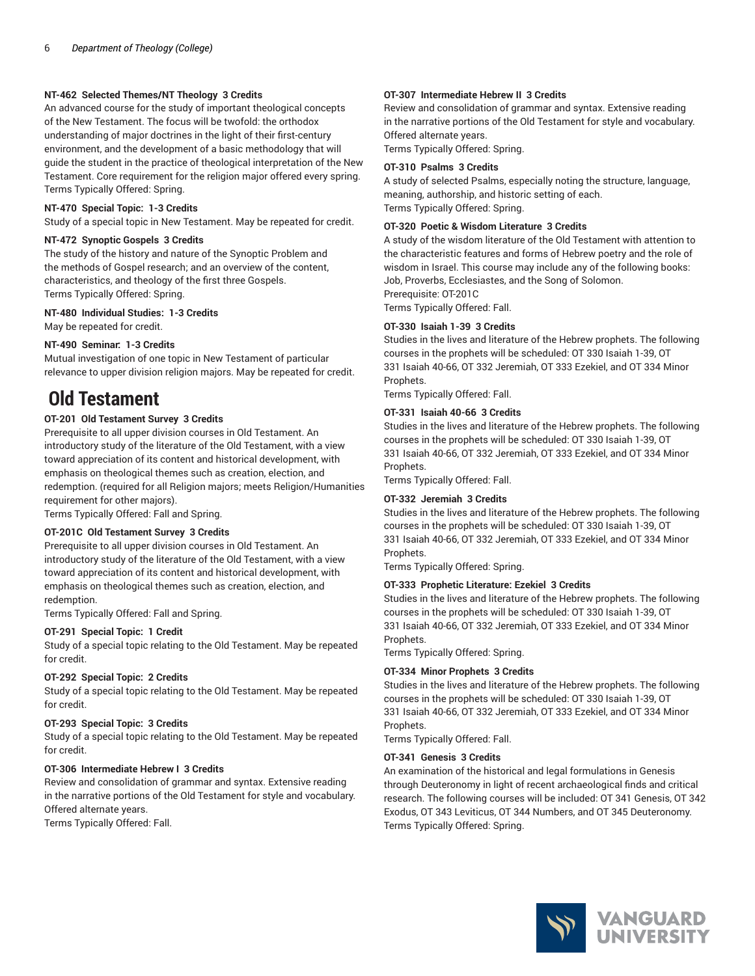# **NT-462 Selected Themes/NT Theology 3 Credits**

An advanced course for the study of important theological concepts of the New Testament. The focus will be twofold: the orthodox understanding of major doctrines in the light of their first-century environment, and the development of a basic methodology that will guide the student in the practice of theological interpretation of the New Testament. Core requirement for the religion major offered every spring. Terms Typically Offered: Spring.

### **NT-470 Special Topic: 1-3 Credits**

Study of a special topic in New Testament. May be repeated for credit.

#### **NT-472 Synoptic Gospels 3 Credits**

The study of the history and nature of the Synoptic Problem and the methods of Gospel research; and an overview of the content, characteristics, and theology of the first three Gospels. Terms Typically Offered: Spring.

#### **NT-480 Individual Studies: 1-3 Credits**

May be repeated for credit.

# **NT-490 Seminar: 1-3 Credits**

Mutual investigation of one topic in New Testament of particular relevance to upper division religion majors. May be repeated for credit.

# **Old Testament**

# **OT-201 Old Testament Survey 3 Credits**

Prerequisite to all upper division courses in Old Testament. An introductory study of the literature of the Old Testament, with a view toward appreciation of its content and historical development, with emphasis on theological themes such as creation, election, and redemption. (required for all Religion majors; meets Religion/Humanities requirement for other majors).

Terms Typically Offered: Fall and Spring.

# **OT-201C Old Testament Survey 3 Credits**

Prerequisite to all upper division courses in Old Testament. An introductory study of the literature of the Old Testament, with a view toward appreciation of its content and historical development, with emphasis on theological themes such as creation, election, and redemption.

Terms Typically Offered: Fall and Spring.

# **OT-291 Special Topic: 1 Credit**

Study of a special topic relating to the Old Testament. May be repeated for credit.

# **OT-292 Special Topic: 2 Credits**

Study of a special topic relating to the Old Testament. May be repeated for credit.

#### **OT-293 Special Topic: 3 Credits**

Study of a special topic relating to the Old Testament. May be repeated for credit.

#### **OT-306 Intermediate Hebrew I 3 Credits**

Review and consolidation of grammar and syntax. Extensive reading in the narrative portions of the Old Testament for style and vocabulary. Offered alternate years.

Terms Typically Offered: Fall.

#### **OT-307 Intermediate Hebrew II 3 Credits**

Review and consolidation of grammar and syntax. Extensive reading in the narrative portions of the Old Testament for style and vocabulary. Offered alternate years.

Terms Typically Offered: Spring.

#### **OT-310 Psalms 3 Credits**

A study of selected Psalms, especially noting the structure, language, meaning, authorship, and historic setting of each. Terms Typically Offered: Spring.

#### **OT-320 Poetic & Wisdom Literature 3 Credits**

A study of the wisdom literature of the Old Testament with attention to the characteristic features and forms of Hebrew poetry and the role of wisdom in Israel. This course may include any of the following books: Job, Proverbs, Ecclesiastes, and the Song of Solomon. Prerequisite: OT-201C

Terms Typically Offered: Fall.

#### **OT-330 Isaiah 1-39 3 Credits**

Studies in the lives and literature of the Hebrew prophets. The following courses in the prophets will be scheduled: OT 330 Isaiah 1-39, OT 331 Isaiah 40-66, OT 332 Jeremiah, OT 333 Ezekiel, and OT 334 Minor Prophets.

Terms Typically Offered: Fall.

#### **OT-331 Isaiah 40-66 3 Credits**

Studies in the lives and literature of the Hebrew prophets. The following courses in the prophets will be scheduled: OT 330 Isaiah 1-39, OT 331 Isaiah 40-66, OT 332 Jeremiah, OT 333 Ezekiel, and OT 334 Minor Prophets.

Terms Typically Offered: Fall.

#### **OT-332 Jeremiah 3 Credits**

Studies in the lives and literature of the Hebrew prophets. The following courses in the prophets will be scheduled: OT 330 Isaiah 1-39, OT 331 Isaiah 40-66, OT 332 Jeremiah, OT 333 Ezekiel, and OT 334 Minor Prophets.

Terms Typically Offered: Spring.

#### **OT-333 Prophetic Literature: Ezekiel 3 Credits**

Studies in the lives and literature of the Hebrew prophets. The following courses in the prophets will be scheduled: OT 330 Isaiah 1-39, OT 331 Isaiah 40-66, OT 332 Jeremiah, OT 333 Ezekiel, and OT 334 Minor Prophets.

Terms Typically Offered: Spring.

# **OT-334 Minor Prophets 3 Credits**

Studies in the lives and literature of the Hebrew prophets. The following courses in the prophets will be scheduled: OT 330 Isaiah 1-39, OT 331 Isaiah 40-66, OT 332 Jeremiah, OT 333 Ezekiel, and OT 334 Minor Prophets.

Terms Typically Offered: Fall.

### **OT-341 Genesis 3 Credits**

An examination of the historical and legal formulations in Genesis through Deuteronomy in light of recent archaeological finds and critical research. The following courses will be included: OT 341 Genesis, OT 342 Exodus, OT 343 Leviticus, OT 344 Numbers, and OT 345 Deuteronomy. Terms Typically Offered: Spring.

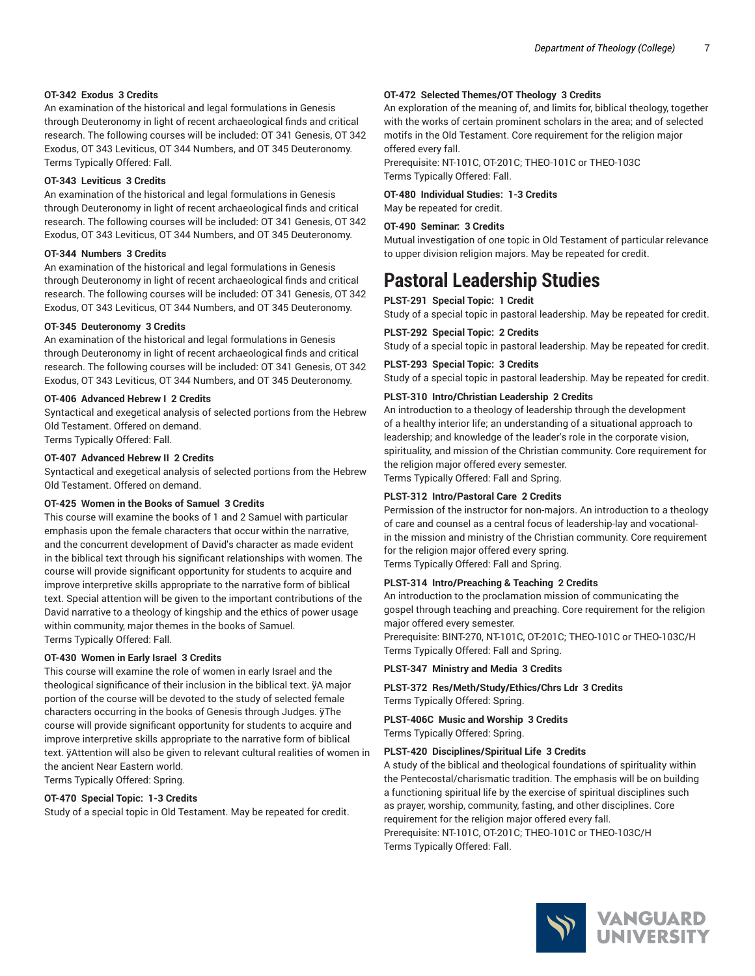### **OT-342 Exodus 3 Credits**

An examination of the historical and legal formulations in Genesis through Deuteronomy in light of recent archaeological finds and critical research. The following courses will be included: OT 341 Genesis, OT 342 Exodus, OT 343 Leviticus, OT 344 Numbers, and OT 345 Deuteronomy. Terms Typically Offered: Fall.

#### **OT-343 Leviticus 3 Credits**

An examination of the historical and legal formulations in Genesis through Deuteronomy in light of recent archaeological finds and critical research. The following courses will be included: OT 341 Genesis, OT 342 Exodus, OT 343 Leviticus, OT 344 Numbers, and OT 345 Deuteronomy.

#### **OT-344 Numbers 3 Credits**

An examination of the historical and legal formulations in Genesis through Deuteronomy in light of recent archaeological finds and critical research. The following courses will be included: OT 341 Genesis, OT 342 Exodus, OT 343 Leviticus, OT 344 Numbers, and OT 345 Deuteronomy.

#### **OT-345 Deuteronomy 3 Credits**

An examination of the historical and legal formulations in Genesis through Deuteronomy in light of recent archaeological finds and critical research. The following courses will be included: OT 341 Genesis, OT 342 Exodus, OT 343 Leviticus, OT 344 Numbers, and OT 345 Deuteronomy.

#### **OT-406 Advanced Hebrew I 2 Credits**

Syntactical and exegetical analysis of selected portions from the Hebrew Old Testament. Offered on demand.

Terms Typically Offered: Fall.

#### **OT-407 Advanced Hebrew II 2 Credits**

Syntactical and exegetical analysis of selected portions from the Hebrew Old Testament. Offered on demand.

#### **OT-425 Women in the Books of Samuel 3 Credits**

This course will examine the books of 1 and 2 Samuel with particular emphasis upon the female characters that occur within the narrative, and the concurrent development of David's character as made evident in the biblical text through his significant relationships with women. The course will provide significant opportunity for students to acquire and improve interpretive skills appropriate to the narrative form of biblical text. Special attention will be given to the important contributions of the David narrative to a theology of kingship and the ethics of power usage within community, major themes in the books of Samuel. Terms Typically Offered: Fall.

#### **OT-430 Women in Early Israel 3 Credits**

This course will examine the role of women in early Israel and the theological significance of their inclusion in the biblical text. ÿA major portion of the course will be devoted to the study of selected female characters occurring in the books of Genesis through Judges. ÿThe course will provide significant opportunity for students to acquire and improve interpretive skills appropriate to the narrative form of biblical text. ÿAttention will also be given to relevant cultural realities of women in the ancient Near Eastern world.

Terms Typically Offered: Spring.

#### **OT-470 Special Topic: 1-3 Credits**

Study of a special topic in Old Testament. May be repeated for credit.

#### **OT-472 Selected Themes/OT Theology 3 Credits**

An exploration of the meaning of, and limits for, biblical theology, together with the works of certain prominent scholars in the area; and of selected motifs in the Old Testament. Core requirement for the religion major offered every fall.

Prerequisite: NT-101C, OT-201C; THEO-101C or THEO-103C Terms Typically Offered: Fall.

**OT-480 Individual Studies: 1-3 Credits**

May be repeated for credit.

#### **OT-490 Seminar: 3 Credits**

Mutual investigation of one topic in Old Testament of particular relevance to upper division religion majors. May be repeated for credit.

# **Pastoral Leadership Studies**

**PLST-291 Special Topic: 1 Credit**

Study of a special topic in pastoral leadership. May be repeated for credit.

#### **PLST-292 Special Topic: 2 Credits**

Study of a special topic in pastoral leadership. May be repeated for credit.

### **PLST-293 Special Topic: 3 Credits**

Study of a special topic in pastoral leadership. May be repeated for credit.

#### **PLST-310 Intro/Christian Leadership 2 Credits**

An introduction to a theology of leadership through the development of a healthy interior life; an understanding of a situational approach to leadership; and knowledge of the leader's role in the corporate vision, spirituality, and mission of the Christian community. Core requirement for the religion major offered every semester.

Terms Typically Offered: Fall and Spring.

#### **PLST-312 Intro/Pastoral Care 2 Credits**

Permission of the instructor for non-majors. An introduction to a theology of care and counsel as a central focus of leadership-lay and vocationalin the mission and ministry of the Christian community. Core requirement for the religion major offered every spring. Terms Typically Offered: Fall and Spring.

# **PLST-314 Intro/Preaching & Teaching 2 Credits**

An introduction to the proclamation mission of communicating the gospel through teaching and preaching. Core requirement for the religion major offered every semester.

Prerequisite: BINT-270, NT-101C, OT-201C; THEO-101C or THEO-103C/H Terms Typically Offered: Fall and Spring.

#### **PLST-347 Ministry and Media 3 Credits**

**PLST-372 Res/Meth/Study/Ethics/Chrs Ldr 3 Credits** Terms Typically Offered: Spring.

**PLST-406C Music and Worship 3 Credits** Terms Typically Offered: Spring.

#### **PLST-420 Disciplines/Spiritual Life 3 Credits**

A study of the biblical and theological foundations of spirituality within the Pentecostal/charismatic tradition. The emphasis will be on building a functioning spiritual life by the exercise of spiritual disciplines such as prayer, worship, community, fasting, and other disciplines. Core requirement for the religion major offered every fall. Prerequisite: NT-101C, OT-201C; THEO-101C or THEO-103C/H Terms Typically Offered: Fall.

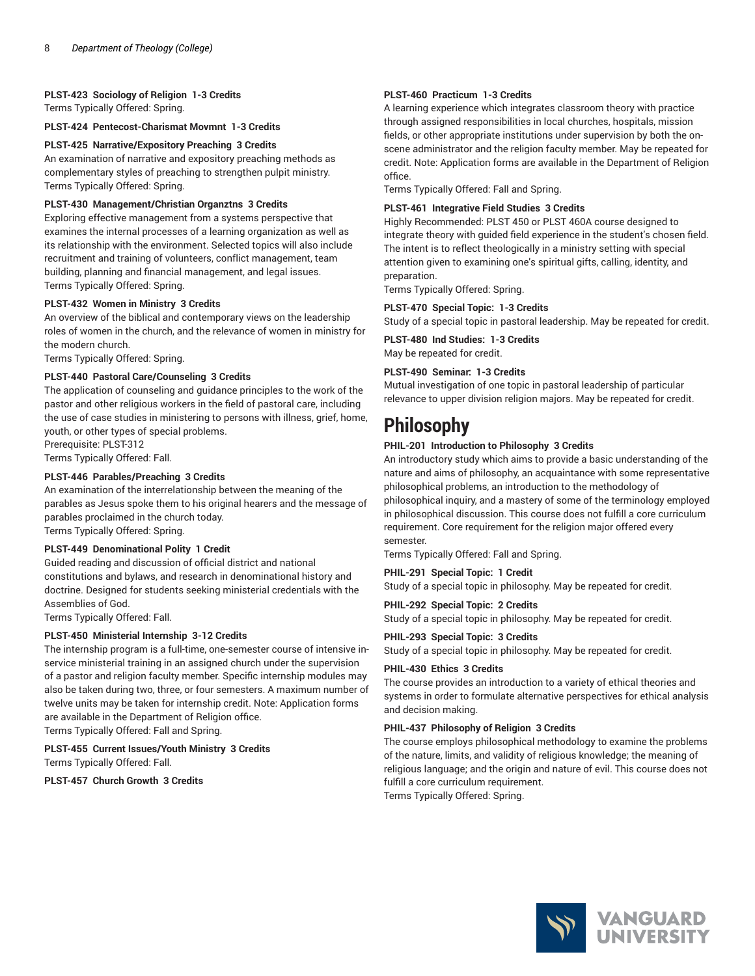# **PLST-423 Sociology of Religion 1-3 Credits**

Terms Typically Offered: Spring.

**PLST-424 Pentecost-Charismat Movmnt 1-3 Credits**

### **PLST-425 Narrative/Expository Preaching 3 Credits**

An examination of narrative and expository preaching methods as complementary styles of preaching to strengthen pulpit ministry. Terms Typically Offered: Spring.

### **PLST-430 Management/Christian Organztns 3 Credits**

Exploring effective management from a systems perspective that examines the internal processes of a learning organization as well as its relationship with the environment. Selected topics will also include recruitment and training of volunteers, conflict management, team building, planning and financial management, and legal issues. Terms Typically Offered: Spring.

#### **PLST-432 Women in Ministry 3 Credits**

An overview of the biblical and contemporary views on the leadership roles of women in the church, and the relevance of women in ministry for the modern church.

Terms Typically Offered: Spring.

#### **PLST-440 Pastoral Care/Counseling 3 Credits**

The application of counseling and guidance principles to the work of the pastor and other religious workers in the field of pastoral care, including the use of case studies in ministering to persons with illness, grief, home, youth, or other types of special problems.

Prerequisite: PLST-312

Terms Typically Offered: Fall.

# **PLST-446 Parables/Preaching 3 Credits**

An examination of the interrelationship between the meaning of the parables as Jesus spoke them to his original hearers and the message of parables proclaimed in the church today. Terms Typically Offered: Spring.

# **PLST-449 Denominational Polity 1 Credit**

Guided reading and discussion of official district and national constitutions and bylaws, and research in denominational history and doctrine. Designed for students seeking ministerial credentials with the Assemblies of God.

Terms Typically Offered: Fall.

# **PLST-450 Ministerial Internship 3-12 Credits**

The internship program is a full-time, one-semester course of intensive inservice ministerial training in an assigned church under the supervision of a pastor and religion faculty member. Specific internship modules may also be taken during two, three, or four semesters. A maximum number of twelve units may be taken for internship credit. Note: Application forms are available in the Department of Religion office. Terms Typically Offered: Fall and Spring.

# **PLST-455 Current Issues/Youth Ministry 3 Credits** Terms Typically Offered: Fall.

**PLST-457 Church Growth 3 Credits**

### **PLST-460 Practicum 1-3 Credits**

A learning experience which integrates classroom theory with practice through assigned responsibilities in local churches, hospitals, mission fields, or other appropriate institutions under supervision by both the onscene administrator and the religion faculty member. May be repeated for credit. Note: Application forms are available in the Department of Religion office.

Terms Typically Offered: Fall and Spring.

### **PLST-461 Integrative Field Studies 3 Credits**

Highly Recommended: PLST 450 or PLST 460A course designed to integrate theory with guided field experience in the student's chosen field. The intent is to reflect theologically in a ministry setting with special attention given to examining one's spiritual gifts, calling, identity, and preparation.

Terms Typically Offered: Spring.

#### **PLST-470 Special Topic: 1-3 Credits**

Study of a special topic in pastoral leadership. May be repeated for credit.

**PLST-480 Ind Studies: 1-3 Credits** May be repeated for credit.

#### **PLST-490 Seminar: 1-3 Credits**

Mutual investigation of one topic in pastoral leadership of particular relevance to upper division religion majors. May be repeated for credit.

# **Philosophy**

# **PHIL-201 Introduction to Philosophy 3 Credits**

An introductory study which aims to provide a basic understanding of the nature and aims of philosophy, an acquaintance with some representative philosophical problems, an introduction to the methodology of philosophical inquiry, and a mastery of some of the terminology employed in philosophical discussion. This course does not fulfill a core curriculum requirement. Core requirement for the religion major offered every semester.

Terms Typically Offered: Fall and Spring.

**PHIL-291 Special Topic: 1 Credit**

Study of a special topic in philosophy. May be repeated for credit.

#### **PHIL-292 Special Topic: 2 Credits**

Study of a special topic in philosophy. May be repeated for credit.

**PHIL-293 Special Topic: 3 Credits**

Study of a special topic in philosophy. May be repeated for credit.

#### **PHIL-430 Ethics 3 Credits**

The course provides an introduction to a variety of ethical theories and systems in order to formulate alternative perspectives for ethical analysis and decision making.

#### **PHIL-437 Philosophy of Religion 3 Credits**

The course employs philosophical methodology to examine the problems of the nature, limits, and validity of religious knowledge; the meaning of religious language; and the origin and nature of evil. This course does not fulfill a core curriculum requirement.

Terms Typically Offered: Spring.

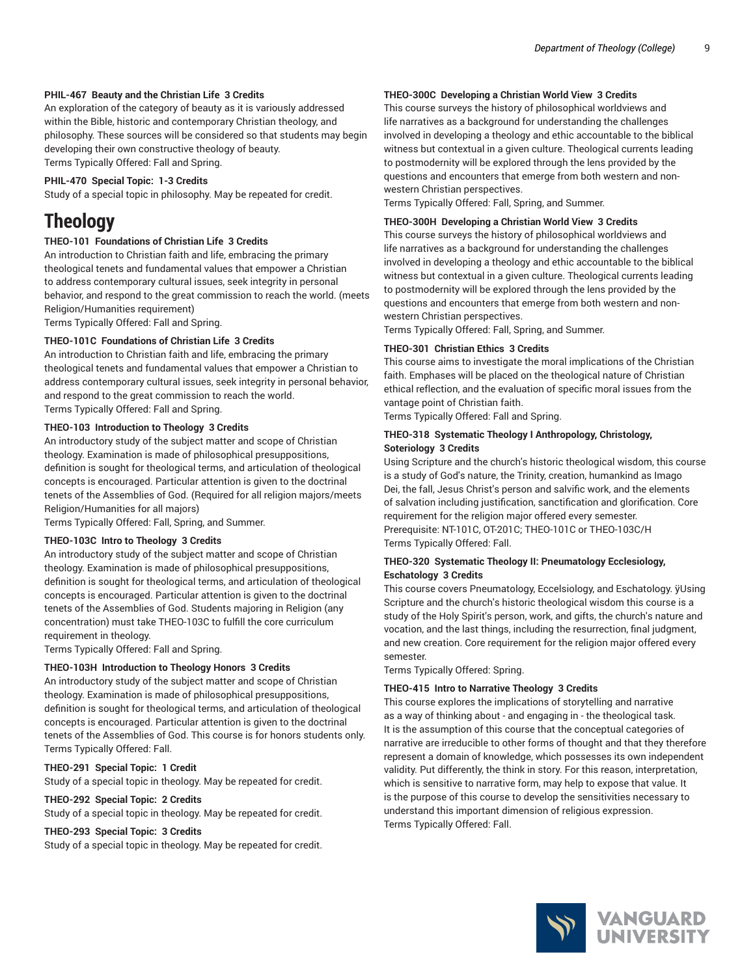#### **PHIL-467 Beauty and the Christian Life 3 Credits**

An exploration of the category of beauty as it is variously addressed within the Bible, historic and contemporary Christian theology, and philosophy. These sources will be considered so that students may begin developing their own constructive theology of beauty. Terms Typically Offered: Fall and Spring.

#### **PHIL-470 Special Topic: 1-3 Credits**

Study of a special topic in philosophy. May be repeated for credit.

# **Theology**

# **THEO-101 Foundations of Christian Life 3 Credits**

An introduction to Christian faith and life, embracing the primary theological tenets and fundamental values that empower a Christian to address contemporary cultural issues, seek integrity in personal behavior, and respond to the great commission to reach the world. (meets Religion/Humanities requirement)

Terms Typically Offered: Fall and Spring.

#### **THEO-101C Foundations of Christian Life 3 Credits**

An introduction to Christian faith and life, embracing the primary theological tenets and fundamental values that empower a Christian to address contemporary cultural issues, seek integrity in personal behavior, and respond to the great commission to reach the world. Terms Typically Offered: Fall and Spring.

#### **THEO-103 Introduction to Theology 3 Credits**

An introductory study of the subject matter and scope of Christian theology. Examination is made of philosophical presuppositions, definition is sought for theological terms, and articulation of theological concepts is encouraged. Particular attention is given to the doctrinal tenets of the Assemblies of God. (Required for all religion majors/meets Religion/Humanities for all majors)

Terms Typically Offered: Fall, Spring, and Summer.

# **THEO-103C Intro to Theology 3 Credits**

An introductory study of the subject matter and scope of Christian theology. Examination is made of philosophical presuppositions, definition is sought for theological terms, and articulation of theological concepts is encouraged. Particular attention is given to the doctrinal tenets of the Assemblies of God. Students majoring in Religion (any concentration) must take THEO-103C to fulfill the core curriculum requirement in theology.

Terms Typically Offered: Fall and Spring.

#### **THEO-103H Introduction to Theology Honors 3 Credits**

An introductory study of the subject matter and scope of Christian theology. Examination is made of philosophical presuppositions, definition is sought for theological terms, and articulation of theological concepts is encouraged. Particular attention is given to the doctrinal tenets of the Assemblies of God. This course is for honors students only. Terms Typically Offered: Fall.

#### **THEO-291 Special Topic: 1 Credit**

Study of a special topic in theology. May be repeated for credit.

#### **THEO-292 Special Topic: 2 Credits**

Study of a special topic in theology. May be repeated for credit.

#### **THEO-293 Special Topic: 3 Credits**

Study of a special topic in theology. May be repeated for credit.

#### **THEO-300C Developing a Christian World View 3 Credits**

This course surveys the history of philosophical worldviews and life narratives as a background for understanding the challenges involved in developing a theology and ethic accountable to the biblical witness but contextual in a given culture. Theological currents leading to postmodernity will be explored through the lens provided by the questions and encounters that emerge from both western and nonwestern Christian perspectives.

Terms Typically Offered: Fall, Spring, and Summer.

#### **THEO-300H Developing a Christian World View 3 Credits**

This course surveys the history of philosophical worldviews and life narratives as a background for understanding the challenges involved in developing a theology and ethic accountable to the biblical witness but contextual in a given culture. Theological currents leading to postmodernity will be explored through the lens provided by the questions and encounters that emerge from both western and nonwestern Christian perspectives.

Terms Typically Offered: Fall, Spring, and Summer.

#### **THEO-301 Christian Ethics 3 Credits**

This course aims to investigate the moral implications of the Christian faith. Emphases will be placed on the theological nature of Christian ethical reflection, and the evaluation of specific moral issues from the vantage point of Christian faith.

Terms Typically Offered: Fall and Spring.

#### **THEO-318 Systematic Theology I Anthropology, Christology, Soteriology 3 Credits**

Using Scripture and the church's historic theological wisdom, this course is a study of God's nature, the Trinity, creation, humankind as Imago Dei, the fall, Jesus Christ's person and salvific work, and the elements of salvation including justification, sanctification and glorification. Core requirement for the religion major offered every semester. Prerequisite: NT-101C, OT-201C; THEO-101C or THEO-103C/H Terms Typically Offered: Fall.

#### **THEO-320 Systematic Theology II: Pneumatology Ecclesiology, Eschatology 3 Credits**

This course covers Pneumatology, Eccelsiology, and Eschatology. ÿUsing Scripture and the church's historic theological wisdom this course is a study of the Holy Spirit's person, work, and gifts, the church's nature and vocation, and the last things, including the resurrection, final judgment, and new creation. Core requirement for the religion major offered every semester.

Terms Typically Offered: Spring.

#### **THEO-415 Intro to Narrative Theology 3 Credits**

This course explores the implications of storytelling and narrative as a way of thinking about - and engaging in - the theological task. It is the assumption of this course that the conceptual categories of narrative are irreducible to other forms of thought and that they therefore represent a domain of knowledge, which possesses its own independent validity. Put differently, the think in story. For this reason, interpretation, which is sensitive to narrative form, may help to expose that value. It is the purpose of this course to develop the sensitivities necessary to understand this important dimension of religious expression. Terms Typically Offered: Fall.

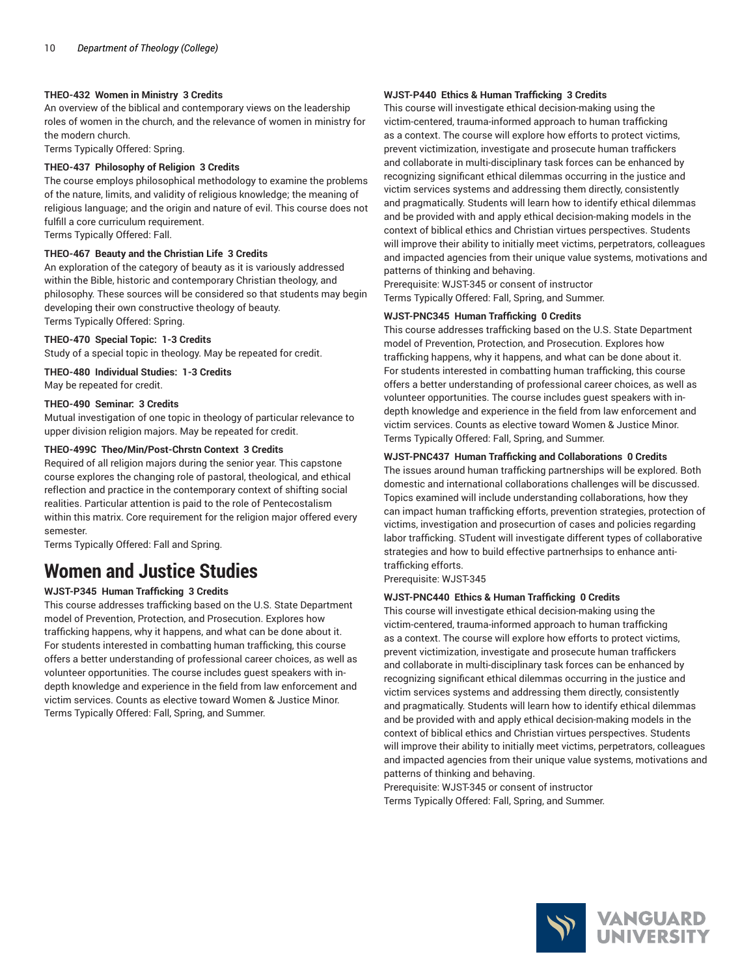### **THEO-432 Women in Ministry 3 Credits**

An overview of the biblical and contemporary views on the leadership roles of women in the church, and the relevance of women in ministry for the modern church.

Terms Typically Offered: Spring.

### **THEO-437 Philosophy of Religion 3 Credits**

The course employs philosophical methodology to examine the problems of the nature, limits, and validity of religious knowledge; the meaning of religious language; and the origin and nature of evil. This course does not fulfill a core curriculum requirement. Terms Typically Offered: Fall.

# **THEO-467 Beauty and the Christian Life 3 Credits**

An exploration of the category of beauty as it is variously addressed within the Bible, historic and contemporary Christian theology, and philosophy. These sources will be considered so that students may begin developing their own constructive theology of beauty. Terms Typically Offered: Spring.

#### **THEO-470 Special Topic: 1-3 Credits**

Study of a special topic in theology. May be repeated for credit.

#### **THEO-480 Individual Studies: 1-3 Credits** May be repeated for credit.

#### **THEO-490 Seminar: 3 Credits**

Mutual investigation of one topic in theology of particular relevance to upper division religion majors. May be repeated for credit.

#### **THEO-499C Theo/Min/Post-Chrstn Context 3 Credits**

Required of all religion majors during the senior year. This capstone course explores the changing role of pastoral, theological, and ethical reflection and practice in the contemporary context of shifting social realities. Particular attention is paid to the role of Pentecostalism within this matrix. Core requirement for the religion major offered every semester.

Terms Typically Offered: Fall and Spring.

# **Women and Justice Studies**

# **WJST-P345 Human Trafficking 3 Credits**

This course addresses trafficking based on the U.S. State Department model of Prevention, Protection, and Prosecution. Explores how trafficking happens, why it happens, and what can be done about it. For students interested in combatting human trafficking, this course offers a better understanding of professional career choices, as well as volunteer opportunities. The course includes guest speakers with indepth knowledge and experience in the field from law enforcement and victim services. Counts as elective toward Women & Justice Minor. Terms Typically Offered: Fall, Spring, and Summer.

#### **WJST-P440 Ethics & Human Trafficking 3 Credits**

This course will investigate ethical decision-making using the victim-centered, trauma-informed approach to human trafficking as a context. The course will explore how efforts to protect victims, prevent victimization, investigate and prosecute human traffickers and collaborate in multi-disciplinary task forces can be enhanced by recognizing significant ethical dilemmas occurring in the justice and victim services systems and addressing them directly, consistently and pragmatically. Students will learn how to identify ethical dilemmas and be provided with and apply ethical decision-making models in the context of biblical ethics and Christian virtues perspectives. Students will improve their ability to initially meet victims, perpetrators, colleagues and impacted agencies from their unique value systems, motivations and patterns of thinking and behaving.

Prerequisite: WJST-345 or consent of instructor Terms Typically Offered: Fall, Spring, and Summer.

#### **WJST-PNC345 Human Trafficking 0 Credits**

This course addresses trafficking based on the U.S. State Department model of Prevention, Protection, and Prosecution. Explores how trafficking happens, why it happens, and what can be done about it. For students interested in combatting human trafficking, this course offers a better understanding of professional career choices, as well as volunteer opportunities. The course includes guest speakers with indepth knowledge and experience in the field from law enforcement and victim services. Counts as elective toward Women & Justice Minor. Terms Typically Offered: Fall, Spring, and Summer.

#### **WJST-PNC437 Human Trafficking and Collaborations 0 Credits**

The issues around human trafficking partnerships will be explored. Both domestic and international collaborations challenges will be discussed. Topics examined will include understanding collaborations, how they can impact human trafficking efforts, prevention strategies, protection of victims, investigation and prosecurtion of cases and policies regarding labor trafficking. STudent will investigate different types of collaborative strategies and how to build effective partnerhsips to enhance antitrafficking efforts.

Prerequisite: WJST-345

# **WJST-PNC440 Ethics & Human Trafficking 0 Credits**

This course will investigate ethical decision-making using the victim-centered, trauma-informed approach to human trafficking as a context. The course will explore how efforts to protect victims, prevent victimization, investigate and prosecute human traffickers and collaborate in multi-disciplinary task forces can be enhanced by recognizing significant ethical dilemmas occurring in the justice and victim services systems and addressing them directly, consistently and pragmatically. Students will learn how to identify ethical dilemmas and be provided with and apply ethical decision-making models in the context of biblical ethics and Christian virtues perspectives. Students will improve their ability to initially meet victims, perpetrators, colleagues and impacted agencies from their unique value systems, motivations and patterns of thinking and behaving.

Prerequisite: WJST-345 or consent of instructor Terms Typically Offered: Fall, Spring, and Summer.

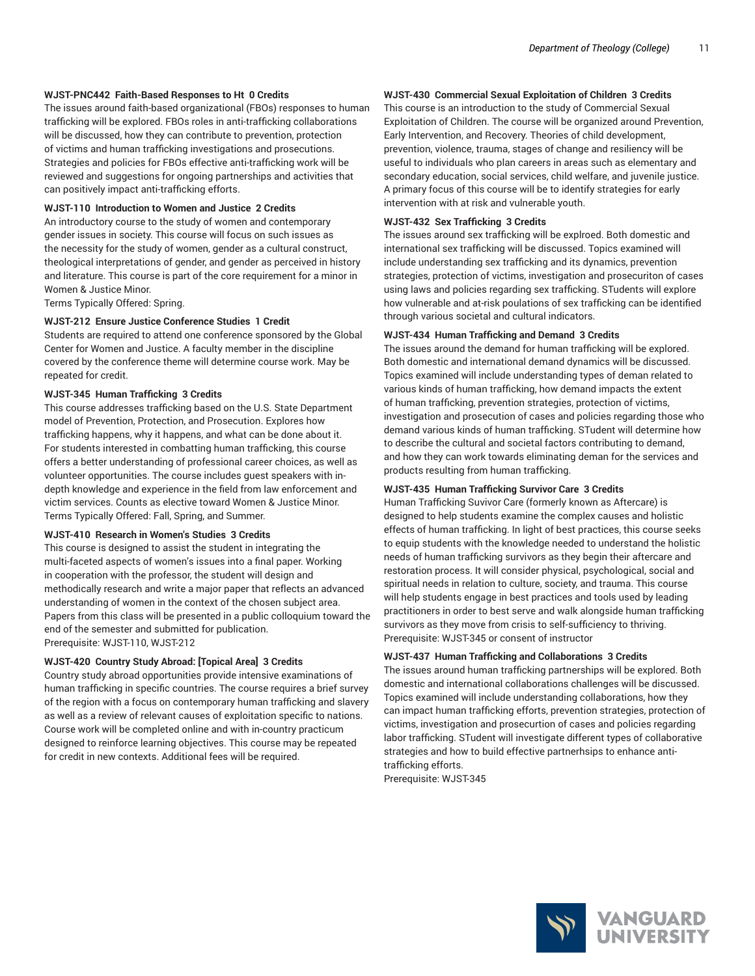#### **WJST-PNC442 Faith-Based Responses to Ht 0 Credits**

The issues around faith-based organizational (FBOs) responses to human trafficking will be explored. FBOs roles in anti-trafficking collaborations will be discussed, how they can contribute to prevention, protection of victims and human trafficking investigations and prosecutions. Strategies and policies for FBOs effective anti-trafficking work will be reviewed and suggestions for ongoing partnerships and activities that can positively impact anti-trafficking efforts.

#### **WJST-110 Introduction to Women and Justice 2 Credits**

An introductory course to the study of women and contemporary gender issues in society. This course will focus on such issues as the necessity for the study of women, gender as a cultural construct, theological interpretations of gender, and gender as perceived in history and literature. This course is part of the core requirement for a minor in Women & Justice Minor.

Terms Typically Offered: Spring.

#### **WJST-212 Ensure Justice Conference Studies 1 Credit**

Students are required to attend one conference sponsored by the Global Center for Women and Justice. A faculty member in the discipline covered by the conference theme will determine course work. May be repeated for credit.

#### **WJST-345 Human Trafficking 3 Credits**

This course addresses trafficking based on the U.S. State Department model of Prevention, Protection, and Prosecution. Explores how trafficking happens, why it happens, and what can be done about it. For students interested in combatting human trafficking, this course offers a better understanding of professional career choices, as well as volunteer opportunities. The course includes guest speakers with indepth knowledge and experience in the field from law enforcement and victim services. Counts as elective toward Women & Justice Minor. Terms Typically Offered: Fall, Spring, and Summer.

#### **WJST-410 Research in Women's Studies 3 Credits**

This course is designed to assist the student in integrating the multi-faceted aspects of women's issues into a final paper. Working in cooperation with the professor, the student will design and methodically research and write a major paper that reflects an advanced understanding of women in the context of the chosen subject area. Papers from this class will be presented in a public colloquium toward the end of the semester and submitted for publication. Prerequisite: WJST-110, WJST-212

#### **WJST-420 Country Study Abroad: [Topical Area] 3 Credits**

Country study abroad opportunities provide intensive examinations of human trafficking in specific countries. The course requires a brief survey of the region with a focus on contemporary human trafficking and slavery as well as a review of relevant causes of exploitation specific to nations. Course work will be completed online and with in-country practicum designed to reinforce learning objectives. This course may be repeated for credit in new contexts. Additional fees will be required.

### **WJST-430 Commercial Sexual Exploitation of Children 3 Credits**

This course is an introduction to the study of Commercial Sexual Exploitation of Children. The course will be organized around Prevention, Early Intervention, and Recovery. Theories of child development, prevention, violence, trauma, stages of change and resiliency will be useful to individuals who plan careers in areas such as elementary and secondary education, social services, child welfare, and juvenile justice. A primary focus of this course will be to identify strategies for early intervention with at risk and vulnerable youth.

#### **WJST-432 Sex Trafficking 3 Credits**

The issues around sex trafficking will be explroed. Both domestic and international sex trafficking will be discussed. Topics examined will include understanding sex trafficking and its dynamics, prevention strategies, protection of victims, investigation and prosecuriton of cases using laws and policies regarding sex trafficking. STudents will explore how vulnerable and at-risk poulations of sex trafficking can be identified through various societal and cultural indicators.

#### **WJST-434 Human Trafficking and Demand 3 Credits**

The issues around the demand for human trafficking will be explored. Both domestic and international demand dynamics will be discussed. Topics examined will include understanding types of deman related to various kinds of human trafficking, how demand impacts the extent of human trafficking, prevention strategies, protection of victims, investigation and prosecution of cases and policies regarding those who demand various kinds of human trafficking. STudent will determine how to describe the cultural and societal factors contributing to demand, and how they can work towards eliminating deman for the services and products resulting from human trafficking.

#### **WJST-435 Human Trafficking Survivor Care 3 Credits**

Human Trafficking Suvivor Care (formerly known as Aftercare) is designed to help students examine the complex causes and holistic effects of human trafficking. In light of best practices, this course seeks to equip students with the knowledge needed to understand the holistic needs of human trafficking survivors as they begin their aftercare and restoration process. It will consider physical, psychological, social and spiritual needs in relation to culture, society, and trauma. This course will help students engage in best practices and tools used by leading practitioners in order to best serve and walk alongside human trafficking survivors as they move from crisis to self-sufficiency to thriving. Prerequisite: WJST-345 or consent of instructor

#### **WJST-437 Human Trafficking and Collaborations 3 Credits**

The issues around human trafficking partnerships will be explored. Both domestic and international collaborations challenges will be discussed. Topics examined will include understanding collaborations, how they can impact human trafficking efforts, prevention strategies, protection of victims, investigation and prosecurtion of cases and policies regarding labor trafficking. STudent will investigate different types of collaborative strategies and how to build effective partnerhsips to enhance antitrafficking efforts.

Prerequisite: WJST-345

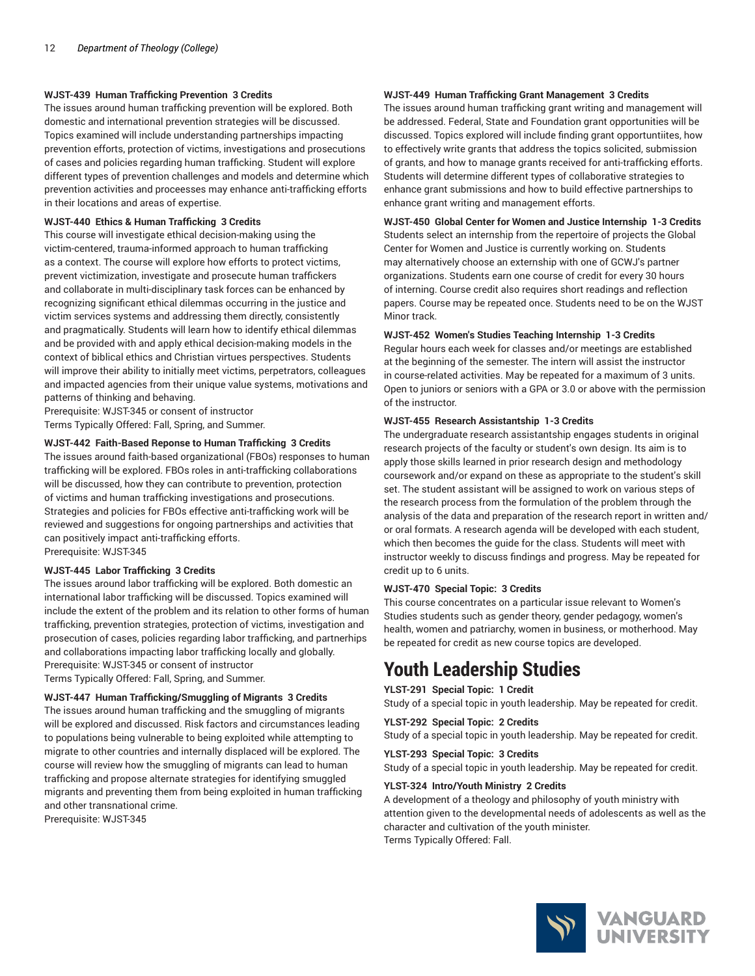#### **WJST-439 Human Trafficking Prevention 3 Credits**

The issues around human trafficking prevention will be explored. Both domestic and international prevention strategies will be discussed. Topics examined will include understanding partnerships impacting prevention efforts, protection of victims, investigations and prosecutions of cases and policies regarding human trafficking. Student will explore different types of prevention challenges and models and determine which prevention activities and proceesses may enhance anti-trafficking efforts in their locations and areas of expertise.

#### **WJST-440 Ethics & Human Trafficking 3 Credits**

This course will investigate ethical decision-making using the victim-centered, trauma-informed approach to human trafficking as a context. The course will explore how efforts to protect victims, prevent victimization, investigate and prosecute human traffickers and collaborate in multi-disciplinary task forces can be enhanced by recognizing significant ethical dilemmas occurring in the justice and victim services systems and addressing them directly, consistently and pragmatically. Students will learn how to identify ethical dilemmas and be provided with and apply ethical decision-making models in the context of biblical ethics and Christian virtues perspectives. Students will improve their ability to initially meet victims, perpetrators, colleagues and impacted agencies from their unique value systems, motivations and patterns of thinking and behaving.

Prerequisite: WJST-345 or consent of instructor Terms Typically Offered: Fall, Spring, and Summer.

#### **WJST-442 Faith-Based Reponse to Human Trafficking 3 Credits**

The issues around faith-based organizational (FBOs) responses to human trafficking will be explored. FBOs roles in anti-trafficking collaborations will be discussed, how they can contribute to prevention, protection of victims and human trafficking investigations and prosecutions. Strategies and policies for FBOs effective anti-trafficking work will be reviewed and suggestions for ongoing partnerships and activities that can positively impact anti-trafficking efforts. Prerequisite: WJST-345

# **WJST-445 Labor Trafficking 3 Credits**

The issues around labor trafficking will be explored. Both domestic an international labor trafficking will be discussed. Topics examined will include the extent of the problem and its relation to other forms of human trafficking, prevention strategies, protection of victims, investigation and prosecution of cases, policies regarding labor trafficking, and partnerhips and collaborations impacting labor trafficking locally and globally. Prerequisite: WJST-345 or consent of instructor Terms Typically Offered: Fall, Spring, and Summer.

#### **WJST-447 Human Trafficking/Smuggling of Migrants 3 Credits**

The issues around human trafficking and the smuggling of migrants will be explored and discussed. Risk factors and circumstances leading to populations being vulnerable to being exploited while attempting to migrate to other countries and internally displaced will be explored. The course will review how the smuggling of migrants can lead to human trafficking and propose alternate strategies for identifying smuggled migrants and preventing them from being exploited in human trafficking and other transnational crime.

Prerequisite: WJST-345

#### **WJST-449 Human Trafficking Grant Management 3 Credits**

The issues around human trafficking grant writing and management will be addressed. Federal, State and Foundation grant opportunities will be discussed. Topics explored will include finding grant opportuntiites, how to effectively write grants that address the topics solicited, submission of grants, and how to manage grants received for anti-trafficking efforts. Students will determine different types of collaborative strategies to enhance grant submissions and how to build effective partnerships to enhance grant writing and management efforts.

**WJST-450 Global Center for Women and Justice Internship 1-3 Credits** Students select an internship from the repertoire of projects the Global Center for Women and Justice is currently working on. Students may alternatively choose an externship with one of GCWJ's partner organizations. Students earn one course of credit for every 30 hours of interning. Course credit also requires short readings and reflection papers. Course may be repeated once. Students need to be on the WJST Minor track.

#### **WJST-452 Women's Studies Teaching Internship 1-3 Credits**

Regular hours each week for classes and/or meetings are established at the beginning of the semester. The intern will assist the instructor in course-related activities. May be repeated for a maximum of 3 units. Open to juniors or seniors with a GPA or 3.0 or above with the permission of the instructor.

#### **WJST-455 Research Assistantship 1-3 Credits**

The undergraduate research assistantship engages students in original research projects of the faculty or student's own design. Its aim is to apply those skills learned in prior research design and methodology coursework and/or expand on these as appropriate to the student's skill set. The student assistant will be assigned to work on various steps of the research process from the formulation of the problem through the analysis of the data and preparation of the research report in written and/ or oral formats. A research agenda will be developed with each student, which then becomes the guide for the class. Students will meet with instructor weekly to discuss findings and progress. May be repeated for credit up to 6 units.

#### **WJST-470 Special Topic: 3 Credits**

This course concentrates on a particular issue relevant to Women's Studies students such as gender theory, gender pedagogy, women's health, women and patriarchy, women in business, or motherhood. May be repeated for credit as new course topics are developed.

# **Youth Leadership Studies**

**YLST-291 Special Topic: 1 Credit** Study of a special topic in youth leadership. May be repeated for credit.

#### **YLST-292 Special Topic: 2 Credits**

Study of a special topic in youth leadership. May be repeated for credit.

#### **YLST-293 Special Topic: 3 Credits**

Study of a special topic in youth leadership. May be repeated for credit.

#### **YLST-324 Intro/Youth Ministry 2 Credits**

A development of a theology and philosophy of youth ministry with attention given to the developmental needs of adolescents as well as the character and cultivation of the youth minister. Terms Typically Offered: Fall.